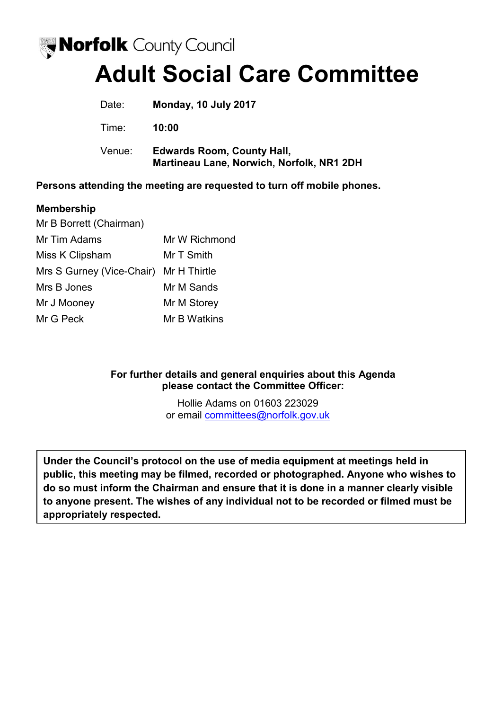

# **Adult Social Care Committee**

| Date:  | Monday, 10 July 2017                                                           |
|--------|--------------------------------------------------------------------------------|
| Time:  | 10:00                                                                          |
| Venue: | <b>Edwards Room, County Hall,</b><br>Martineau Lane, Norwich, Norfolk, NR1 2DH |

**Persons attending the meeting are requested to turn off mobile phones.** 

# **Membership**

| Mr B Borrett (Chairman)                |               |
|----------------------------------------|---------------|
| Mr Tim Adams                           | Mr W Richmond |
| Miss K Clipsham                        | Mr T Smith    |
| Mrs S Gurney (Vice-Chair) Mr H Thirtle |               |
| Mrs B Jones                            | Mr M Sands    |
| Mr J Mooney                            | Mr M Storey   |
| Mr G Peck                              | Mr B Watkins  |

# **For further details and general enquiries about this Agenda please contact the Committee Officer:**

Hollie Adams on 01603 223029 or email [committees@norfolk.gov.uk](mailto:committees@norfolk.gov.uk) 

**Under the Council's protocol on the use of media equipment at meetings held in public, this meeting may be filmed, recorded or photographed. Anyone who wishes to do so must inform the Chairman and ensure that it is done in a manner clearly visible to anyone present. The wishes of any individual not to be recorded or filmed must be appropriately respected.**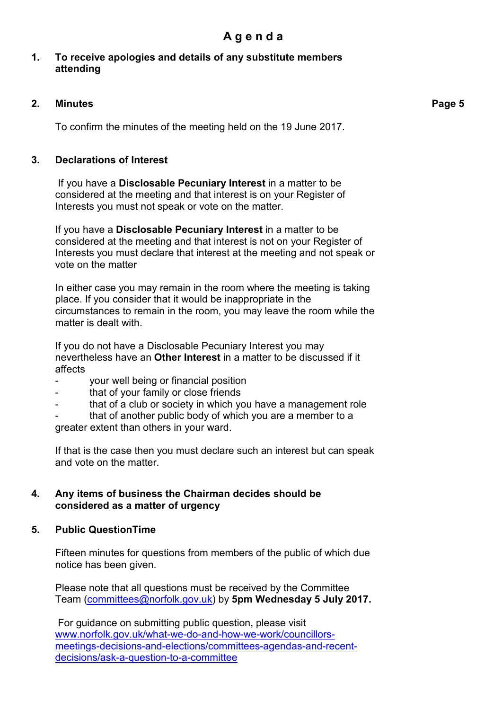# **1. To receive apologies and details of any substitute members attending**

# **2. Minutes**

To confirm the minutes of the meeting held on the 19 June 2017.

# **3. Declarations of Interest**

 If you have a **Disclosable Pecuniary Interest** in a matter to be considered at the meeting and that interest is on your Register of Interests you must not speak or vote on the matter.

If you have a **Disclosable Pecuniary Interest** in a matter to be considered at the meeting and that interest is not on your Register of Interests you must declare that interest at the meeting and not speak or vote on the matter

In either case you may remain in the room where the meeting is taking place. If you consider that it would be inappropriate in the circumstances to remain in the room, you may leave the room while the matter is dealt with.

If you do not have a Disclosable Pecuniary Interest you may nevertheless have an **Other Interest** in a matter to be discussed if it affects

- your well being or financial position
- that of your family or close friends
- that of a club or society in which you have a management role

that of another public body of which you are a member to a greater extent than others in your ward.

If that is the case then you must declare such an interest but can speak and vote on the matter.

# **4. Any items of business the Chairman decides should be considered as a matter of urgency**

#### **5. Public QuestionTime**

Fifteen minutes for questions from members of the public of which due notice has been given.

Please note that all questions must be received by the Committee Team ([committees@norfolk.gov.uk\)](mailto:committees@norfolk.gov.uk) by **5pm Wednesday 5 July 2017.** 

For guidance on submitting public question, please visit [www.norfolk.gov.uk/what-we-do-and-how-we-work/councillors](http://www.norfolk.gov.uk/what-we-do-and-how-we-work/councillors-meetings-decisions-and-elections/committees-agendas-and-recent-decisions/ask-a-question-to-a-committee)[meetings-decisions-and-elections/committees-agendas-and-recent](http://www.norfolk.gov.uk/what-we-do-and-how-we-work/councillors-meetings-decisions-and-elections/committees-agendas-and-recent-decisions/ask-a-question-to-a-committee)[decisions/ask-a-question-to-a-committee](http://www.norfolk.gov.uk/what-we-do-and-how-we-work/councillors-meetings-decisions-and-elections/committees-agendas-and-recent-decisions/ask-a-question-to-a-committee)

**Page 5**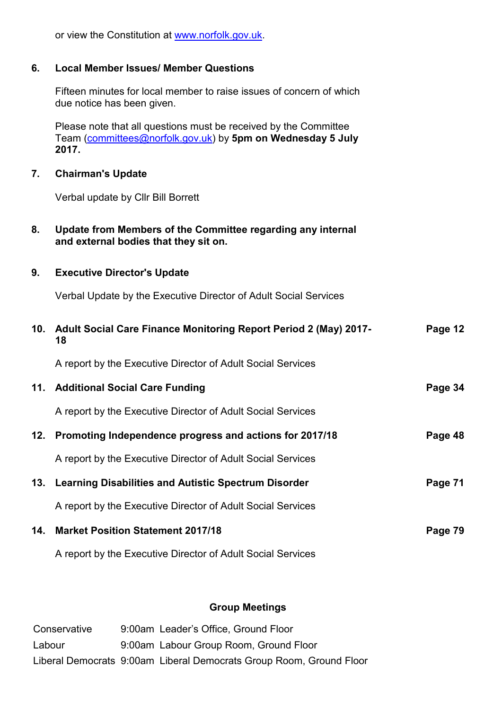| 6.  | <b>Local Member Issues/ Member Questions</b>                                                                                             |         |
|-----|------------------------------------------------------------------------------------------------------------------------------------------|---------|
|     | Fifteen minutes for local member to raise issues of concern of which<br>due notice has been given.                                       |         |
|     | Please note that all questions must be received by the Committee<br>Team (committees@norfolk.gov.uk) by 5pm on Wednesday 5 July<br>2017. |         |
| 7.  | <b>Chairman's Update</b>                                                                                                                 |         |
|     | Verbal update by Cllr Bill Borrett                                                                                                       |         |
| 8.  | Update from Members of the Committee regarding any internal<br>and external bodies that they sit on.                                     |         |
| 9.  | <b>Executive Director's Update</b>                                                                                                       |         |
|     | Verbal Update by the Executive Director of Adult Social Services                                                                         |         |
| 10. | <b>Adult Social Care Finance Monitoring Report Period 2 (May) 2017-</b><br>18                                                            | Page 12 |
|     | A report by the Executive Director of Adult Social Services                                                                              |         |
|     | 11. Additional Social Care Funding                                                                                                       | Page 34 |
|     | A report by the Executive Director of Adult Social Services                                                                              |         |
| 12. | Promoting Independence progress and actions for 2017/18                                                                                  | Page 48 |
|     | A report by the Executive Director of Adult Social Services                                                                              |         |
| 13. | <b>Learning Disabilities and Autistic Spectrum Disorder</b>                                                                              | Page 71 |
|     | A report by the Executive Director of Adult Social Services                                                                              |         |
| 14. | <b>Market Position Statement 2017/18</b>                                                                                                 | Page 79 |
|     | A report by the Executive Director of Adult Social Services                                                                              |         |

or view the Constitution at [www.norfolk.gov.uk.](http://www.norfolk.gov.uk/)

# **Group Meetings**

| Conservative | 9:00am Leader's Office, Ground Floor                                |
|--------------|---------------------------------------------------------------------|
| Labour       | 9:00am Labour Group Room, Ground Floor                              |
|              | Liberal Democrats 9:00am Liberal Democrats Group Room, Ground Floor |